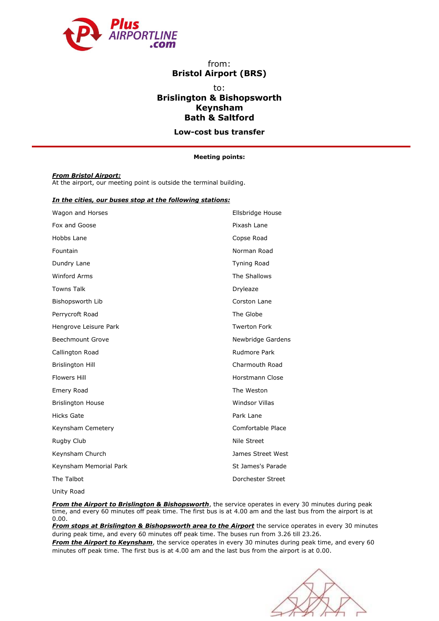

## from: **Bristol Airport (BRS)**

# to: **Brislington & Bishopsworth Keynsham Bath & Saltford**

**Low-cost bus transfer**

### **Meeting points:**

### *From Bristol Airport:*

At the airport, our meeting point is outside the terminal building.

## *In the cities, our buses stop at the following stations:*

| Wagon and Horses         | Ellsbridge House      |
|--------------------------|-----------------------|
| Fox and Goose            | Pixash Lane           |
| Hobbs Lane               | Copse Road            |
| Fountain                 | Norman Road           |
| Dundry Lane              | <b>Tyning Road</b>    |
| <b>Winford Arms</b>      | The Shallows          |
| <b>Towns Talk</b>        | Dryleaze              |
| Bishopsworth Lib         | Corston Lane          |
| Perrycroft Road          | The Globe             |
| Hengrove Leisure Park    | <b>Twerton Fork</b>   |
| <b>Beechmount Grove</b>  | Newbridge Gardens     |
| Callington Road          | Rudmore Park          |
| <b>Brislington Hill</b>  | Charmouth Road        |
| <b>Flowers Hill</b>      | Horstmann Close       |
| Emery Road               | The Weston            |
| <b>Brislington House</b> | <b>Windsor Villas</b> |
| <b>Hicks Gate</b>        | Park Lane             |
| Keynsham Cemetery        | Comfortable Place     |
| Rugby Club               | Nile Street           |
| Keynsham Church          | James Street West     |
| Keynsham Memorial Park   | St James's Parade     |
| The Talbot               | Dorchester Street     |
|                          |                       |

Unity Road

**From the Airport to Brislington & Bishopsworth**, the service operates in every 30 minutes during peak time, and every 60 minutes off peak time. The first bus is at 4.00 am and the last bus from the airport is at 0.00.

*From stops at Brislington & Bishopsworth area to the Airport* the service operates in every 30 minutes during peak time, and every 60 minutes off peak time. The buses run from 3.26 till 23.26.

*From the Airport to Keynsham*, the service operates in every 30 minutes during peak time, and every 60 minutes off peak time. The first bus is at 4.00 am and the last bus from the airport is at 0.00.